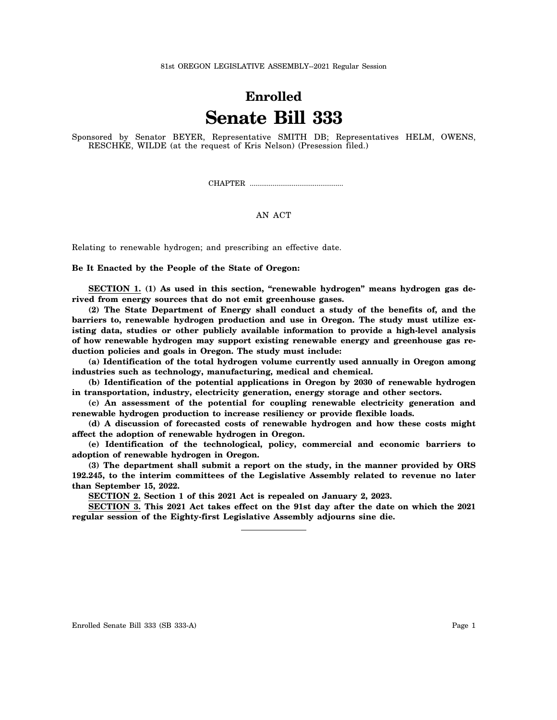## **Enrolled Senate Bill 333**

Sponsored by Senator BEYER, Representative SMITH DB; Representatives HELM, OWENS, RESCHKE, WILDE (at the request of Kris Nelson) (Presession filed.)

CHAPTER .................................................

## AN ACT

Relating to renewable hydrogen; and prescribing an effective date.

## **Be It Enacted by the People of the State of Oregon:**

**SECTION 1. (1) As used in this section, "renewable hydrogen" means hydrogen gas derived from energy sources that do not emit greenhouse gases.**

**(2) The State Department of Energy shall conduct a study of the benefits of, and the barriers to, renewable hydrogen production and use in Oregon. The study must utilize existing data, studies or other publicly available information to provide a high-level analysis of how renewable hydrogen may support existing renewable energy and greenhouse gas reduction policies and goals in Oregon. The study must include:**

**(a) Identification of the total hydrogen volume currently used annually in Oregon among industries such as technology, manufacturing, medical and chemical.**

**(b) Identification of the potential applications in Oregon by 2030 of renewable hydrogen in transportation, industry, electricity generation, energy storage and other sectors.**

**(c) An assessment of the potential for coupling renewable electricity generation and renewable hydrogen production to increase resiliency or provide flexible loads.**

**(d) A discussion of forecasted costs of renewable hydrogen and how these costs might affect the adoption of renewable hydrogen in Oregon.**

**(e) Identification of the technological, policy, commercial and economic barriers to adoption of renewable hydrogen in Oregon.**

**(3) The department shall submit a report on the study, in the manner provided by ORS 192.245, to the interim committees of the Legislative Assembly related to revenue no later than September 15, 2022.**

**SECTION 2. Section 1 of this 2021 Act is repealed on January 2, 2023.**

**SECTION 3. This 2021 Act takes effect on the 91st day after the date on which the 2021 regular session of the Eighty-first Legislative Assembly adjourns sine die.**